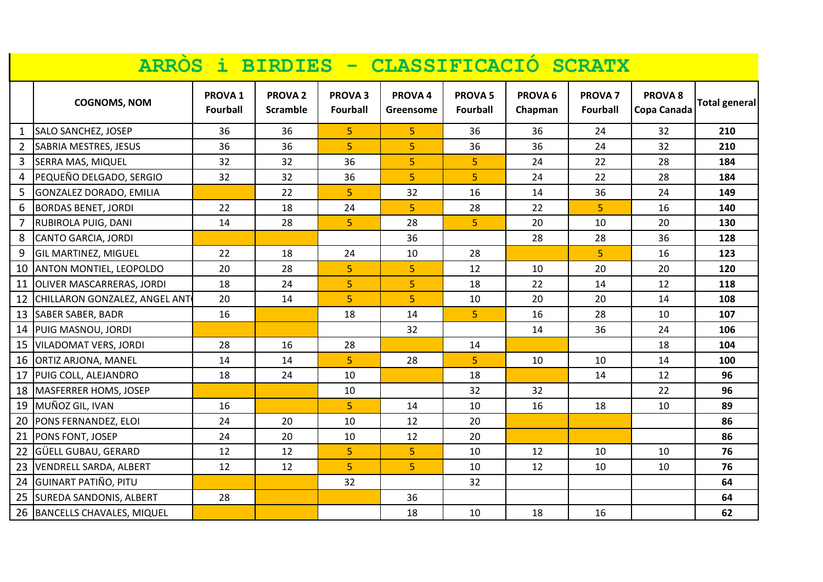|                | ARRÒS i BIRDIES - CLASSIFICACIÓ SCRATX |                                       |                                   |                                  |                                 |                                   |                               |                                   |                                   |               |
|----------------|----------------------------------------|---------------------------------------|-----------------------------------|----------------------------------|---------------------------------|-----------------------------------|-------------------------------|-----------------------------------|-----------------------------------|---------------|
|                | <b>COGNOMS, NOM</b>                    | PROVA <sub>1</sub><br><b>Fourball</b> | <b>PROVA 2</b><br><b>Scramble</b> | <b>PROVA3</b><br><b>Fourball</b> | PROVA <sub>4</sub><br>Greensome | <b>PROVA 5</b><br><b>Fourball</b> | PROVA <sub>6</sub><br>Chapman | <b>PROVA 7</b><br><b>Fourball</b> | PROVA <sub>8</sub><br>Copa Canada | Total general |
| 1              | SALO SANCHEZ, JOSEP                    | 36                                    | 36                                | 5                                | 5                               | 36                                | 36                            | 24                                | 32                                | 210           |
| $\overline{2}$ | SABRIA MESTRES, JESUS                  | 36                                    | 36                                | $\overline{5}$                   | $\overline{5}$                  | 36                                | 36                            | 24                                | 32                                | 210           |
| 3              | <b>SERRA MAS, MIQUEL</b>               | 32                                    | 32                                | 36                               | 5 <sup>1</sup>                  | 5                                 | 24                            | 22                                | 28                                | 184           |
| 4              | PEQUEÑO DELGADO, SERGIO                | 32                                    | 32                                | 36                               | $\overline{5}$                  | 5                                 | 24                            | 22                                | 28                                | 184           |
| 5              | GONZALEZ DORADO, EMILIA                |                                       | 22                                | 5                                | 32                              | 16                                | 14                            | 36                                | 24                                | 149           |
| 6              | <b>BORDAS BENET, JORDI</b>             | 22                                    | 18                                | 24                               | $\overline{5}$                  | 28                                | 22                            | $\overline{5}$                    | 16                                | 140           |
| 7              | RUBIROLA PUIG, DANI                    | 14                                    | 28                                | 5 <sub>1</sub>                   | 28                              | 5                                 | 20                            | 10                                | 20                                | 130           |
| 8              | CANTO GARCIA, JORDI                    |                                       |                                   |                                  | 36                              |                                   | 28                            | 28                                | 36                                | 128           |
| 9              | <b>GIL MARTINEZ, MIGUEL</b>            | 22                                    | 18                                | 24                               | 10                              | 28                                |                               | 5                                 | 16                                | 123           |
| 10             | ANTON MONTIEL, LEOPOLDO                | 20                                    | 28                                | 5                                | 5                               | 12                                | 10                            | 20                                | 20                                | 120           |
| 11             | OLIVER MASCARRERAS, JORDI              | 18                                    | 24                                | $\overline{5}$                   | 5 <sup>1</sup>                  | 18                                | 22                            | 14                                | 12                                | 118           |
| 12             | CHILLARON GONZALEZ, ANGEL ANT          | 20                                    | 14                                | 5 <sup>1</sup>                   | $\overline{5}$                  | 10                                | 20                            | 20                                | 14                                | 108           |
| 13             | <b>SABER SABER, BADR</b>               | 16                                    |                                   | 18                               | 14                              | 5 <sup>1</sup>                    | 16                            | 28                                | 10                                | 107           |
| 14             | PUIG MASNOU, JORDI                     |                                       |                                   |                                  | 32                              |                                   | 14                            | 36                                | 24                                | 106           |
| 15             | <b>VILADOMAT VERS, JORDI</b>           | 28                                    | 16                                | 28                               |                                 | 14                                |                               |                                   | 18                                | 104           |
| 16             | <b>ORTIZ ARJONA, MANEL</b>             | 14                                    | 14                                | 5                                | 28                              | 5                                 | 10                            | 10                                | 14                                | 100           |
| 17             | PUIG COLL, ALEJANDRO                   | 18                                    | 24                                | 10                               |                                 | 18                                |                               | 14                                | 12                                | 96            |
| 18             | <b>MASFERRER HOMS, JOSEP</b>           |                                       |                                   | 10                               |                                 | 32                                | 32                            |                                   | 22                                | 96            |
| 19             | MUÑOZ GIL, IVAN                        | 16                                    |                                   | 5                                | 14                              | 10                                | 16                            | 18                                | 10                                | 89            |
| 20             | PONS FERNANDEZ, ELOI                   | 24                                    | 20                                | 10                               | 12                              | 20                                |                               |                                   |                                   | 86            |
| 21             | PONS FONT, JOSEP                       | 24                                    | 20                                | 10                               | 12                              | 20                                |                               |                                   |                                   | 86            |
| 22             | GÜELL GUBAU, GERARD                    | 12                                    | 12                                | 5 <sup>1</sup>                   | $\overline{5}$                  | 10                                | 12                            | 10                                | 10                                | 76            |
| 23             | VENDRELL SARDA, ALBERT                 | 12                                    | 12                                | $\overline{5}$                   | 5                               | 10                                | 12                            | 10                                | 10                                | 76            |
| 24             | <b>GUINART PATIÑO, PITU</b>            |                                       |                                   | 32                               |                                 | 32                                |                               |                                   |                                   | 64            |
| 25             | <b>SUREDA SANDONIS, ALBERT</b>         | 28                                    |                                   |                                  | 36                              |                                   |                               |                                   |                                   | 64            |
| 26             | <b>BANCELLS CHAVALES, MIQUEL</b>       |                                       |                                   |                                  | 18                              | 10                                | 18                            | 16                                |                                   | 62            |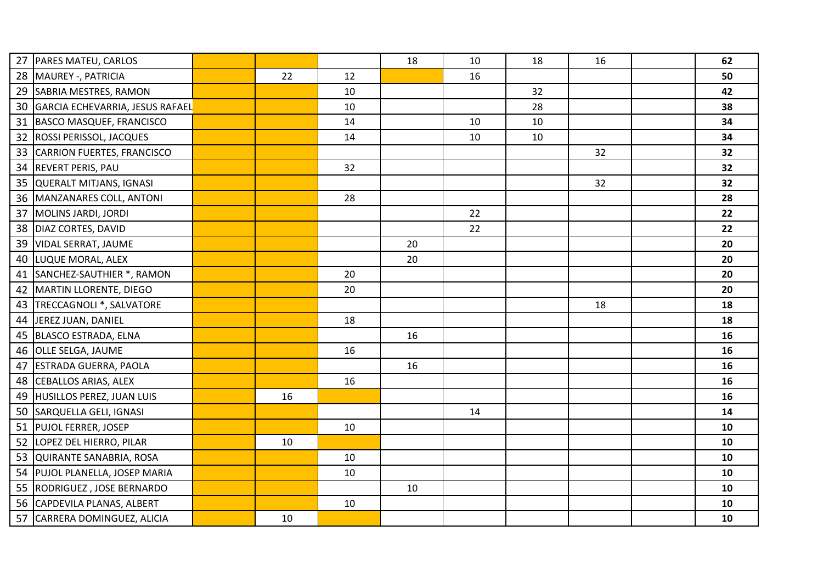| 27 | PARES MATEU, CARLOS                |    |    | 18 | 10 | 18 | 16 | 62 |
|----|------------------------------------|----|----|----|----|----|----|----|
|    | 28   MAUREY -, PATRICIA            | 22 | 12 |    | 16 |    |    | 50 |
|    | 29 SABRIA MESTRES, RAMON           |    | 10 |    |    | 32 |    | 42 |
|    | 30 GARCIA ECHEVARRIA, JESUS RAFAEL |    | 10 |    |    | 28 |    | 38 |
|    | 31 BASCO MASQUEF, FRANCISCO        |    | 14 |    | 10 | 10 |    | 34 |
|    | 32 ROSSI PERISSOL, JACQUES         |    | 14 |    | 10 | 10 |    | 34 |
|    | 33 CARRION FUERTES, FRANCISCO      |    |    |    |    |    | 32 | 32 |
|    | 34 REVERT PERIS, PAU               |    | 32 |    |    |    |    | 32 |
|    | 35 QUERALT MITJANS, IGNASI         |    |    |    |    |    | 32 | 32 |
|    | 36   MANZANARES COLL, ANTONI       |    | 28 |    |    |    |    | 28 |
| 37 | MOLINS JARDI, JORDI                |    |    |    | 22 |    |    | 22 |
|    | 38   DIAZ CORTES, DAVID            |    |    |    | 22 |    |    | 22 |
| 39 | <b>VIDAL SERRAT, JAUME</b>         |    |    | 20 |    |    |    | 20 |
| 40 | LUQUE MORAL, ALEX                  |    |    | 20 |    |    |    | 20 |
|    | 41 SANCHEZ-SAUTHIER *, RAMON       |    | 20 |    |    |    |    | 20 |
|    | 42   MARTIN LLORENTE, DIEGO        |    | 20 |    |    |    |    | 20 |
|    | 43   TRECCAGNOLI *, SALVATORE      |    |    |    |    |    | 18 | 18 |
|    | 44 JEREZ JUAN, DANIEL              |    | 18 |    |    |    |    | 18 |
|    | 45 BLASCO ESTRADA, ELNA            |    |    | 16 |    |    |    | 16 |
|    | 46 OLLE SELGA, JAUME               |    | 16 |    |    |    |    | 16 |
| 47 | <b>ESTRADA GUERRA, PAOLA</b>       |    |    | 16 |    |    |    | 16 |
|    | 48 CEBALLOS ARIAS, ALEX            |    | 16 |    |    |    |    | 16 |
| 49 | HUSILLOS PEREZ, JUAN LUIS          | 16 |    |    |    |    |    | 16 |
|    | 50 SARQUELLA GELI, IGNASI          |    |    |    | 14 |    |    | 14 |
|    | 51 PUJOL FERRER, JOSEP             |    | 10 |    |    |    |    | 10 |
|    | 52 LOPEZ DEL HIERRO, PILAR         | 10 |    |    |    |    |    | 10 |
|    | 53 QUIRANTE SANABRIA, ROSA         |    | 10 |    |    |    |    | 10 |
|    | 54 PUJOL PLANELLA, JOSEP MARIA     |    | 10 |    |    |    |    | 10 |
|    | 55   RODRIGUEZ, JOSE BERNARDO      |    |    | 10 |    |    |    | 10 |
|    | 56 CAPDEVILA PLANAS, ALBERT        |    | 10 |    |    |    |    | 10 |
|    | 57 CARRERA DOMINGUEZ, ALICIA       | 10 |    |    |    |    |    | 10 |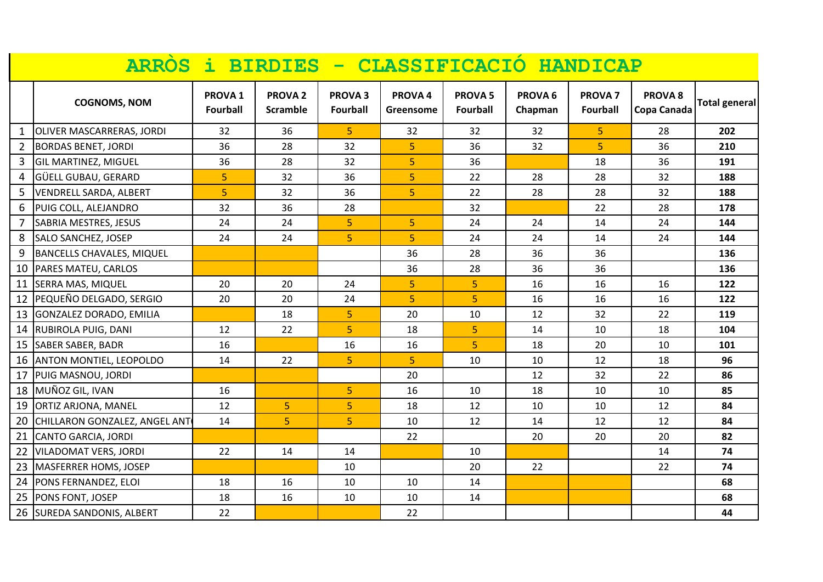|                | ARRÒS i BIRDIES - CLASSIFICACIÓ HANDICAP |                                       |                                   |                                  |                      |                                   |                               |                                |                                   |                      |
|----------------|------------------------------------------|---------------------------------------|-----------------------------------|----------------------------------|----------------------|-----------------------------------|-------------------------------|--------------------------------|-----------------------------------|----------------------|
|                | <b>COGNOMS, NOM</b>                      | PROVA <sub>1</sub><br><b>Fourball</b> | <b>PROVA 2</b><br><b>Scramble</b> | <b>PROVA3</b><br><b>Fourball</b> | PROVA 4<br>Greensome | <b>PROVA 5</b><br><b>Fourball</b> | PROVA <sub>6</sub><br>Chapman | PROVA <sub>7</sub><br>Fourball | PROVA <sub>8</sub><br>Copa Canada | <b>Total general</b> |
| 1              | OLIVER MASCARRERAS, JORDI                | 32                                    | 36                                | 5 <sub>1</sub>                   | 32                   | 32                                | 32                            | $\overline{5}$                 | 28                                | 202                  |
| $\overline{2}$ | <b>BORDAS BENET, JORDI</b>               | 36                                    | 28                                | 32                               | 5 <sup>1</sup>       | 36                                | 32                            | 5                              | 36                                | 210                  |
| 3              | <b>GIL MARTINEZ, MIGUEL</b>              | 36                                    | 28                                | 32                               | $\overline{5}$       | 36                                |                               | 18                             | 36                                | 191                  |
| 4              | GÜELL GUBAU, GERARD                      | $5\phantom{.0}$                       | 32                                | 36                               | 5                    | 22                                | 28                            | 28                             | 32                                | 188                  |
| 5              | <b>VENDRELL SARDA, ALBERT</b>            | $\overline{5}$                        | 32                                | 36                               | 5 <sup>1</sup>       | 22                                | 28                            | 28                             | 32                                | 188                  |
| 6              | PUIG COLL, ALEJANDRO                     | 32                                    | 36                                | 28                               |                      | 32                                |                               | 22                             | 28                                | 178                  |
| $\overline{7}$ | SABRIA MESTRES, JESUS                    | 24                                    | 24                                | 5 <sub>1</sub>                   | 5                    | 24                                | 24                            | 14                             | 24                                | 144                  |
| 8              | <b>SALO SANCHEZ, JOSEP</b>               | 24                                    | 24                                | 5                                | $\overline{5}$       | 24                                | 24                            | 14                             | 24                                | 144                  |
| 9              | <b>BANCELLS CHAVALES, MIQUEL</b>         |                                       |                                   |                                  | 36                   | 28                                | 36                            | 36                             |                                   | 136                  |
| 10             | PARES MATEU, CARLOS                      |                                       |                                   |                                  | 36                   | 28                                | 36                            | 36                             |                                   | 136                  |
| 11             | SERRA MAS, MIQUEL                        | 20                                    | 20                                | 24                               | 5 <sup>1</sup>       | 5                                 | 16                            | 16                             | 16                                | 122                  |
| 12             | PEQUEÑO DELGADO, SERGIO                  | 20                                    | 20                                | 24                               | 5                    | 5 <sup>1</sup>                    | 16                            | 16                             | 16                                | 122                  |
| 13             | GONZALEZ DORADO, EMILIA                  |                                       | 18                                | 5                                | 20                   | 10                                | 12                            | 32                             | 22                                | 119                  |
| 14             | <b>RUBIROLA PUIG, DANI</b>               | 12                                    | 22                                | 5 <sub>1</sub>                   | 18                   | 5                                 | 14                            | 10                             | 18                                | 104                  |
| 15             | <b>SABER SABER, BADR</b>                 | 16                                    |                                   | 16                               | 16                   | 5                                 | 18                            | 20                             | 10                                | 101                  |
| 16             | <b>ANTON MONTIEL, LEOPOLDO</b>           | 14                                    | 22                                | 5 <sub>1</sub>                   | 5 <sup>1</sup>       | 10                                | 10                            | 12                             | 18                                | 96                   |
| 17             | PUIG MASNOU, JORDI                       |                                       |                                   |                                  | 20                   |                                   | 12                            | 32                             | 22                                | 86                   |
| 18             | MUÑOZ GIL, IVAN                          | 16                                    |                                   | 5 <sub>1</sub>                   | 16                   | 10                                | 18                            | 10                             | 10                                | 85                   |
| 19             | ORTIZ ARJONA, MANEL                      | 12                                    | $\overline{5}$                    | 5 <sub>1</sub>                   | 18                   | 12                                | 10                            | 10                             | 12                                | 84                   |
| 20             | CHILLARON GONZALEZ, ANGEL ANT            | 14                                    | $\overline{5}$                    | $\overline{5}$                   | 10                   | 12                                | 14                            | 12                             | 12                                | 84                   |
| 21             | <b>CANTO GARCIA, JORDI</b>               |                                       |                                   |                                  | 22                   |                                   | 20                            | 20                             | 20                                | 82                   |
| 22             | VILADOMAT VERS, JORDI                    | 22                                    | 14                                | 14                               |                      | 10                                |                               |                                | 14                                | 74                   |
| 23             | MASFERRER HOMS, JOSEP                    |                                       |                                   | 10                               |                      | 20                                | 22                            |                                | 22                                | 74                   |
| 24             | PONS FERNANDEZ, ELOI                     | 18                                    | 16                                | 10                               | 10                   | 14                                |                               |                                |                                   | 68                   |
| 25             | PONS FONT, JOSEP                         | 18                                    | 16                                | 10                               | 10                   | 14                                |                               |                                |                                   | 68                   |
| 26             | <b>SUREDA SANDONIS, ALBERT</b>           | 22                                    |                                   |                                  | 22                   |                                   |                               |                                |                                   | 44                   |